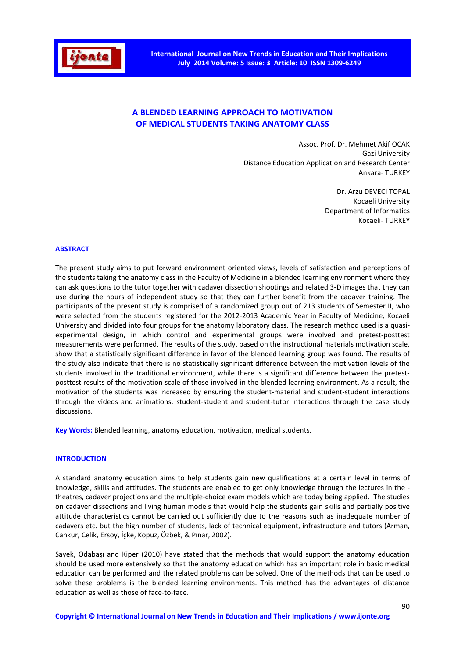

# **A BLENDED LEARNING APPROACH TO MOTIVATION OF MEDICAL STUDENTS TAKING ANATOMY CLASS**

Assoc. Prof. Dr. Mehmet Akif OCAK Gazi University Distance Education Application and Research Center Ankara- TURKEY

> Dr. Arzu DEVECI TOPAL Kocaeli University Department of Informatics Kocaeli- TURKEY

### **ABSTRACT**

The present study aims to put forward environment oriented views, levels of satisfaction and perceptions of the students taking the anatomy class in the Faculty of Medicine in a blended learning environment where they can ask questions to the tutor together with cadaver dissection shootings and related 3-D images that they can use during the hours of independent study so that they can further benefit from the cadaver training. The participants of the present study is comprised of a randomized group out of 213 students of Semester II, who were selected from the students registered for the 2012-2013 Academic Year in Faculty of Medicine, Kocaeli University and divided into four groups for the anatomy laboratory class. The research method used is a quasiexperimental design, in which control and experimental groups were involved and pretest-posttest measurements were performed. The results of the study, based on the instructional materials motivation scale, show that a statistically significant difference in favor of the blended learning group was found. The results of the study also indicate that there is no statistically significant difference between the motivation levels of the students involved in the traditional environment, while there is a significant difference between the pretestposttest results of the motivation scale of those involved in the blended learning environment. As a result, the motivation of the students was increased by ensuring the student-material and student-student interactions through the videos and animations; student-student and student-tutor interactions through the case study discussions.

**Key Words:** Blended learning, anatomy education, motivation, medical students.

### **INTRODUCTION**

A standard anatomy education aims to help students gain new qualifications at a certain level in terms of knowledge, skills and attitudes. The students are enabled to get only knowledge through the lectures in the theatres, cadaver projections and the multiple-choice exam models which are today being applied. The studies on cadaver dissections and living human models that would help the students gain skills and partially positive attitude characteristics cannot be carried out sufficiently due to the reasons such as inadequate number of cadavers etc. but the high number of students, lack of technical equipment, infrastructure and tutors (Arman, Cankur, Celik, Ersoy, İçke, Kopuz, Özbek, & Pınar, 2002).

Sayek, Odabaşı and Kiper (2010) have stated that the methods that would support the anatomy education should be used more extensively so that the anatomy education which has an important role in basic medical education can be performed and the related problems can be solved. One of the methods that can be used to solve these problems is the blended learning environments. This method has the advantages of distance education as well as those of face-to-face.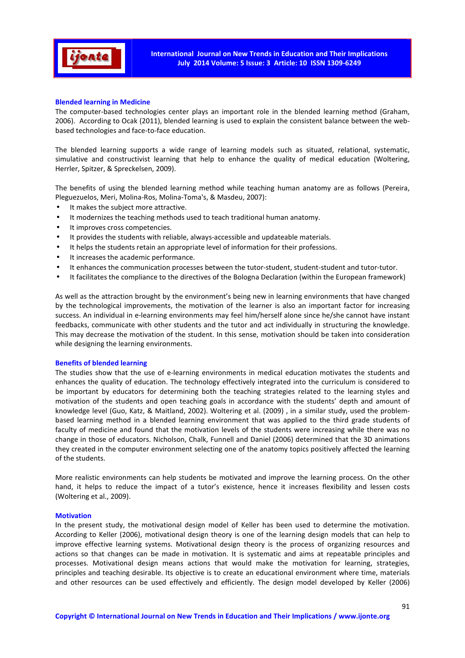

### **Blended learning in Medicine**

The computer-based technologies center plays an important role in the blended learning method (Graham, 2006). According to Ocak (2011), blended learning is used to explain the consistent balance between the webbased technologies and face-to-face education.

The blended learning supports a wide range of learning models such as situated, relational, systematic, simulative and constructivist learning that help to enhance the quality of medical education (Woltering, Herrler, Spitzer, & Spreckelsen, 2009).

The benefits of using the blended learning method while teaching human anatomy are as follows (Pereira, Pleguezuelos, Meri, Molina-Ros, Molina-Toma's, & Masdeu, 2007):

- It makes the subject more attractive.
- It modernizes the teaching methods used to teach traditional human anatomy.
- It improves cross competencies.
- It provides the students with reliable, always-accessible and updateable materials.
- It helps the students retain an appropriate level of information for their professions.
- It increases the academic performance.
- It enhances the communication processes between the tutor-student, student-student and tutor-tutor.
- It facilitates the compliance to the directives of the Bologna Declaration (within the European framework)

As well as the attraction brought by the environment's being new in learning environments that have changed by the technological improvements, the motivation of the learner is also an important factor for increasing success. An individual in e-learning environments may feel him/herself alone since he/she cannot have instant feedbacks, communicate with other students and the tutor and act individually in structuring the knowledge. This may decrease the motivation of the student. In this sense, motivation should be taken into consideration while designing the learning environments.

### **Benefits of blended learning**

The studies show that the use of e-learning environments in medical education motivates the students and enhances the quality of education. The technology effectively integrated into the curriculum is considered to be important by educators for determining both the teaching strategies related to the learning styles and motivation of the students and open teaching goals in accordance with the students' depth and amount of knowledge level (Guo, Katz, & Maitland, 2002). Woltering et al. (2009) , in a similar study, used the problembased learning method in a blended learning environment that was applied to the third grade students of faculty of medicine and found that the motivation levels of the students were increasing while there was no change in those of educators. Nicholson, Chalk, Funnell and Daniel (2006) determined that the 3D animations they created in the computer environment selecting one of the anatomy topics positively affected the learning of the students.

More realistic environments can help students be motivated and improve the learning process. On the other hand, it helps to reduce the impact of a tutor's existence, hence it increases flexibility and lessen costs (Woltering et al., 2009).

#### **Motivation**

In the present study, the motivational design model of Keller has been used to determine the motivation. According to Keller (2006), motivational design theory is one of the learning design models that can help to improve effective learning systems. Motivational design theory is the process of organizing resources and actions so that changes can be made in motivation. It is systematic and aims at repeatable principles and processes. Motivational design means actions that would make the motivation for learning, strategies, principles and teaching desirable. Its objective is to create an educational environment where time, materials and other resources can be used effectively and efficiently. The design model developed by Keller (2006)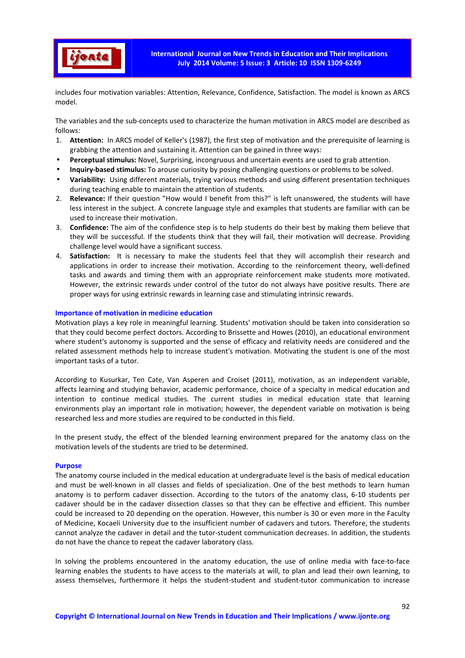

includes four motivation variables: Attention, Relevance, Confidence, Satisfaction. The model is known as ARCS model.

The variables and the sub-concepts used to characterize the human motivation in ARCS model are described as follows:

- 1. **Attention:** In ARCS model of Keller's (1987), the first step of motivation and the prerequisite of learning is grabbing the attention and sustaining it. Attention can be gained in three ways:
- **Perceptual stimulus:** Novel, Surprising, incongruous and uncertain events are used to grab attention.
- **Inquiry-based stimulus:** To arouse curiosity by posing challenging questions or problems to be solved.
- **Variability:** Using different materials, trying various methods and using different presentation techniques during teaching enable to maintain the attention of students.
- 2. **Relevance:** If their question "How would I benefit from this?" is left unanswered, the students will have less interest in the subject. A concrete language style and examples that students are familiar with can be used to increase their motivation.
- 3. **Confidence:** The aim of the confidence step is to help students do their best by making them believe that they will be successful. If the students think that they will fail, their motivation will decrease. Providing challenge level would have a significant success.
- 4. **Satisfaction:** It is necessary to make the students feel that they will accomplish their research and applications in order to increase their motivation. According to the reinforcement theory, well-defined tasks and awards and timing them with an appropriate reinforcement make students more motivated. However, the extrinsic rewards under control of the tutor do not always have positive results. There are proper ways for using extrinsic rewards in learning case and stimulating intrinsic rewards.

### **Importance of motivation in medicine education**

Motivation plays a key role in meaningful learning. Students' motivation should be taken into consideration so that they could become perfect doctors. According to Brissette and Howes (2010), an educational environment where student's autonomy is supported and the sense of efficacy and relativity needs are considered and the related assessment methods help to increase student's motivation. Motivating the student is one of the most important tasks of a tutor.

According to Kusurkar, Ten Cate, Van Asperen and Croiset (2011), motivation, as an independent variable, affects learning and studying behavior, academic performance, choice of a specialty in medical education and intention to continue medical studies. The current studies in medical education state that learning environments play an important role in motivation; however, the dependent variable on motivation is being researched less and more studies are required to be conducted in this field.

In the present study, the effect of the blended learning environment prepared for the anatomy class on the motivation levels of the students are tried to be determined.

### **Purpose**

The anatomy course included in the medical education at undergraduate level is the basis of medical education and must be well-known in all classes and fields of specialization. One of the best methods to learn human anatomy is to perform cadaver dissection. According to the tutors of the anatomy class, 6-10 students per cadaver should be in the cadaver dissection classes so that they can be effective and efficient. This number could be increased to 20 depending on the operation. However, this number is 30 or even more in the Faculty of Medicine, Kocaeli University due to the insufficient number of cadavers and tutors. Therefore, the students cannot analyze the cadaver in detail and the tutor-student communication decreases. In addition, the students do not have the chance to repeat the cadaver laboratory class.

In solving the problems encountered in the anatomy education, the use of online media with face-to-face learning enables the students to have access to the materials at will, to plan and lead their own learning, to assess themselves, furthermore it helps the student-student and student-tutor communication to increase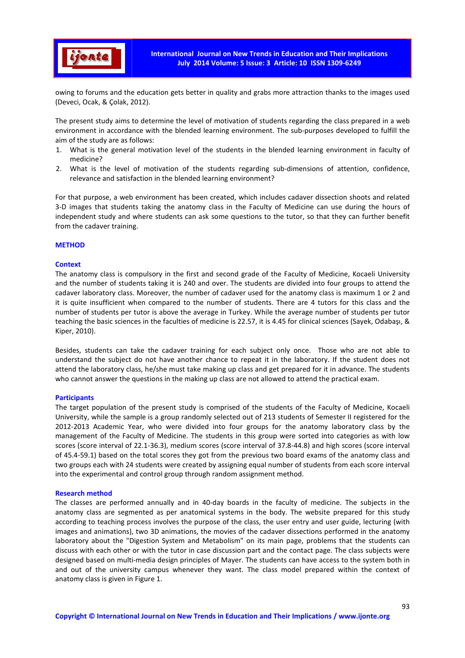

owing to forums and the education gets better in quality and grabs more attraction thanks to the images used (Deveci, Ocak, & Çolak, 2012).

The present study aims to determine the level of motivation of students regarding the class prepared in a web environment in accordance with the blended learning environment. The sub-purposes developed to fulfill the aim of the study are as follows:

- 1. What is the general motivation level of the students in the blended learning environment in faculty of medicine?
- 2. What is the level of motivation of the students regarding sub-dimensions of attention, confidence, relevance and satisfaction in the blended learning environment?

For that purpose, a web environment has been created, which includes cadaver dissection shoots and related 3-D images that students taking the anatomy class in the Faculty of Medicine can use during the hours of independent study and where students can ask some questions to the tutor, so that they can further benefit from the cadaver training.

### **METHOD**

### **Context**

The anatomy class is compulsory in the first and second grade of the Faculty of Medicine, Kocaeli University and the number of students taking it is 240 and over. The students are divided into four groups to attend the cadaver laboratory class. Moreover, the number of cadaver used for the anatomy class is maximum 1 or 2 and it is quite insufficient when compared to the number of students. There are 4 tutors for this class and the number of students per tutor is above the average in Turkey. While the average number of students per tutor teaching the basic sciences in the faculties of medicine is 22.57, it is 4.45 for clinical sciences (Sayek, Odabaşı, & Kiper, 2010).

Besides, students can take the cadaver training for each subject only once. Those who are not able to understand the subject do not have another chance to repeat it in the laboratory. If the student does not attend the laboratory class, he/she must take making up class and get prepared for it in advance. The students who cannot answer the questions in the making up class are not allowed to attend the practical exam.

#### **Participants**

The target population of the present study is comprised of the students of the Faculty of Medicine, Kocaeli University, while the sample is a group randomly selected out of 213 students of Semester II registered for the 2012-2013 Academic Year, who were divided into four groups for the anatomy laboratory class by the management of the Faculty of Medicine. The students in this group were sorted into categories as with low scores (score interval of 22.1-36.3), medium scores (score interval of 37.8-44.8) and high scores (score interval of 45.4-59.1) based on the total scores they got from the previous two board exams of the anatomy class and two groups each with 24 students were created by assigning equal number of students from each score interval into the experimental and control group through random assignment method.

#### **Research method**

The classes are performed annually and in 40-day boards in the faculty of medicine. The subjects in the anatomy class are segmented as per anatomical systems in the body. The website prepared for this study according to teaching process involves the purpose of the class, the user entry and user guide, lecturing (with images and animations), two 3D animations, the movies of the cadaver dissections performed in the anatomy laboratory about the "Digestion System and Metabolism" on its main page, problems that the students can discuss with each other or with the tutor in case discussion part and the contact page. The class subjects were designed based on multi-media design principles of Mayer. The students can have access to the system both in and out of the university campus whenever they want. The class model prepared within the context of anatomy class is given in Figure 1.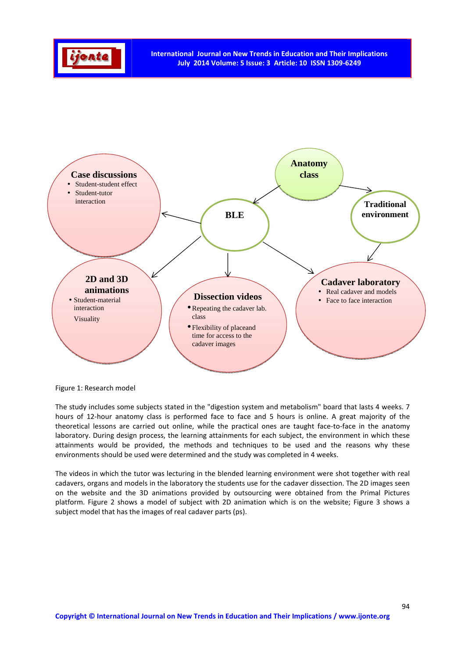



Figure 1: Research model

The study includes some subjects stated in the "digestion system and metabolism" board that lasts 4 weeks. 7 hours of 12-hour anatomy class is performed face to face and 5 hours is online. A great majority of the theoretical lessons are carried out online, while the practical ones are taught face-to-face in the anatomy laboratory. During design process, the learning attainments for each subject, the environment in which these attainments would be provided, the methods and techniques to be used and the reasons why these environments should be used were determined and the study was completed in 4 weeks.

The videos in which the tutor was lecturing in the blended learning environment were shot together with real cadavers, organs and models in the laboratory the students use for the cadaver dissection. The 2D images seen on the website and the 3D animations provided by outsourcing were obtained from the Primal Pictures platform. Figure 2 shows a model of subject with 2D animation which is on the website; Figure 3 shows a subject model that has the images of real cadaver parts (ps).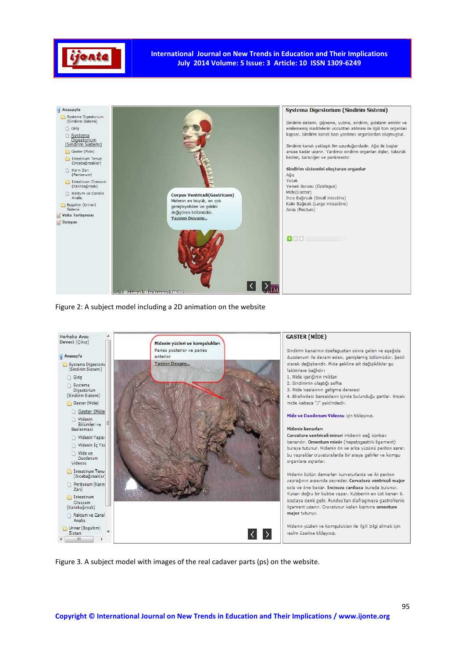

**International Journal on New Trends in Education and Their Implications July 2014 Volume: 5 Issue: 3 Article: 10 ISSN 1309-6249** 



Figure 2: A subject model including a 2D animation on the website



Figure 3. A subject model with images of the real cadaver parts (ps) on the website.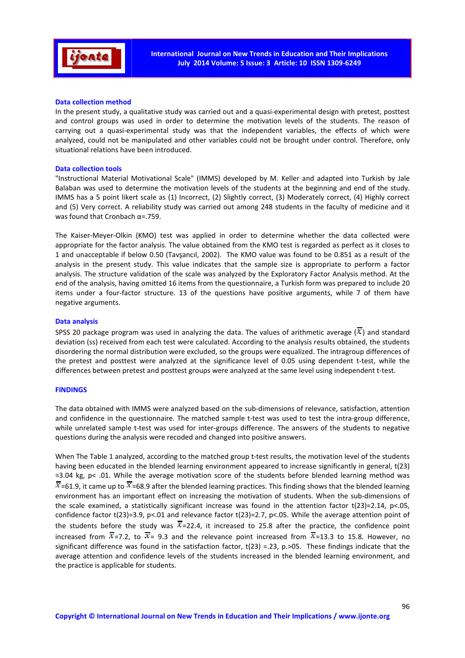

### **Data collection method**

In the present study, a qualitative study was carried out and a quasi-experimental design with pretest, posttest and control groups was used in order to determine the motivation levels of the students. The reason of carrying out a quasi-experimental study was that the independent variables, the effects of which were analyzed, could not be manipulated and other variables could not be brought under control. Therefore, only situational relations have been introduced.

### **Data collection tools**

"Instructional Material Motivational Scale" (IMMS) developed by M. Keller and adapted into Turkish by Jale Balaban was used to determine the motivation levels of the students at the beginning and end of the study. IMMS has a 5 point likert scale as (1) Incorrect, (2) Slightly correct, (3) Moderately correct, (4) Highly correct and (5) Very correct. A reliability study was carried out among 248 students in the faculty of medicine and it was found that Cronbach α=.759.

The Kaiser-Meyer-Olkin (KMO) test was applied in order to determine whether the data collected were appropriate for the factor analysis. The value obtained from the KMO test is regarded as perfect as it closes to 1 and unacceptable if below 0.50 (Tavşancıl, 2002). The KMO value was found to be 0.851 as a result of the analysis in the present study. This value indicates that the sample size is appropriate to perform a factor analysis. The structure validation of the scale was analyzed by the Exploratory Factor Analysis method. At the end of the analysis, having omitted 16 items from the questionnaire, a Turkish form was prepared to include 20 items under a four-factor structure. 13 of the questions have positive arguments, while 7 of them have negative arguments.

#### **Data analysis**

SPSS 20 package program was used in analyzing the data. The values of arithmetic average  $(\overline{x})$  and standard deviation (ss) received from each test were calculated. According to the analysis results obtained, the students disordering the normal distribution were excluded, so the groups were equalized. The intragroup differences of the pretest and posttest were analyzed at the significance level of 0.05 using dependent t-test, while the differences between pretest and posttest groups were analyzed at the same level using independent t-test.

# **FINDINGS**

The data obtained with IMMS were analyzed based on the sub-dimensions of relevance, satisfaction, attention and confidence in the questionnaire. The matched sample t-test was used to test the intra-group difference, while unrelated sample t-test was used for inter-groups difference. The answers of the students to negative questions during the analysis were recoded and changed into positive answers.

When The Table 1 analyzed, according to the matched group t-test results, the motivation level of the students having been educated in the blended learning environment appeared to increase significantly in general, t(23) =3.04 kg, p< .01. While the average motivation score of the students before blended learning method was  $\overline{x}$ =61.9, it came up to  $\overline{x}$ =68.9 after the blended learning practices. This finding shows that the blended learning environment has an important effect on increasing the motivation of students. When the sub-dimensions of the scale examined, a statistically significant increase was found in the attention factor t(23)=2.14, p<.05, confidence factor t(23)=3.9, p<.01 and relevance factor t(23)=2.7, p<.05. While the average attention point of the students before the study was  $\overline{x}$ =22.4, it increased to 25.8 after the practice, the confidence point increased from  $\overline{x}$ =7.2, to  $\overline{x}$ = 9.3 and the relevance point increased from  $\overline{x}$ =13.3 to 15.8. However, no significant difference was found in the satisfaction factor, t(23) =.23, p.>05. These findings indicate that the average attention and confidence levels of the students increased in the blended learning environment, and the practice is applicable for students.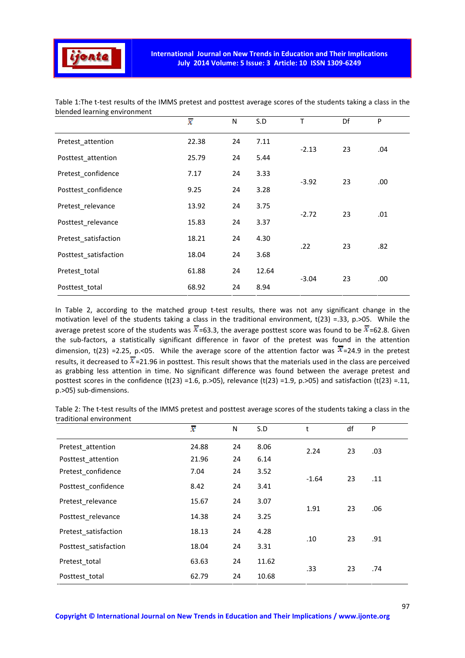

|                       | $\bar{x}$ | N  | S.D   | т       | Df | P    |
|-----------------------|-----------|----|-------|---------|----|------|
| Pretest_attention     | 22.38     | 24 | 7.11  | $-2.13$ | 23 | .04  |
| Posttest_attention    | 25.79     | 24 | 5.44  |         |    |      |
| Pretest confidence    | 7.17      | 24 | 3.33  | $-3.92$ | 23 | .00. |
| Posttest_confidence   | 9.25      | 24 | 3.28  |         |    |      |
| Pretest_relevance     | 13.92     | 24 | 3.75  | $-2.72$ | 23 | .01  |
| Posttest_relevance    | 15.83     | 24 | 3.37  |         |    |      |
| Pretest_satisfaction  | 18.21     | 24 | 4.30  | .22     | 23 | .82  |
| Posttest satisfaction | 18.04     | 24 | 3.68  |         |    |      |
| Pretest_total         | 61.88     | 24 | 12.64 | $-3.04$ | 23 | .00. |
| Posttest_total        | 68.92     | 24 | 8.94  |         |    |      |

Table 1:The t-test results of the IMMS pretest and posttest average scores of the students taking a class in the blended learning environment

In Table 2, according to the matched group t-test results, there was not any significant change in the motivation level of the students taking a class in the traditional environment,  $t(23) = 33$ , p.>05. While the average pretest score of the students was  $\overline{x}$ =63.3, the average posttest score was found to be  $\overline{x}$ =62.8. Given the sub-factors, a statistically significant difference in favor of the pretest was found in the attention dimension, t(23) =2.25, p.<05. While the average score of the attention factor was  $\overline{x}$ =24.9 in the pretest results, it decreased to  $\overline{x}$ =21.96 in posttest. This result shows that the materials used in the class are perceived as grabbing less attention in time. No significant difference was found between the average pretest and posttest scores in the confidence (t(23) =1.6, p.>05), relevance (t(23) =1.9, p.>05) and satisfaction (t(23) =.11, p.>05) sub-dimensions.

Table 2: The t-test results of the IMMS pretest and posttest average scores of the students taking a class in the traditional environment

|                       | $\bar{\chi}$ | N  | S.D   | t       | df | P   |
|-----------------------|--------------|----|-------|---------|----|-----|
| Pretest_attention     | 24.88        | 24 | 8.06  | 2.24    | 23 | .03 |
| Posttest attention    | 21.96        | 24 | 6.14  |         |    |     |
| Pretest confidence    | 7.04         | 24 | 3.52  |         | 23 |     |
| Posttest confidence   | 8.42         | 24 | 3.41  | $-1.64$ |    | .11 |
| Pretest relevance     | 15.67        | 24 | 3.07  | 1.91    | 23 | .06 |
| Posttest relevance    | 14.38        | 24 | 3.25  |         |    |     |
| Pretest satisfaction  | 18.13        | 24 | 4.28  | .10     | 23 | .91 |
| Posttest satisfaction | 18.04        | 24 | 3.31  |         |    |     |
| Pretest total         | 63.63        | 24 | 11.62 | .33     | 23 | .74 |
| Posttest total        | 62.79        | 24 | 10.68 |         |    |     |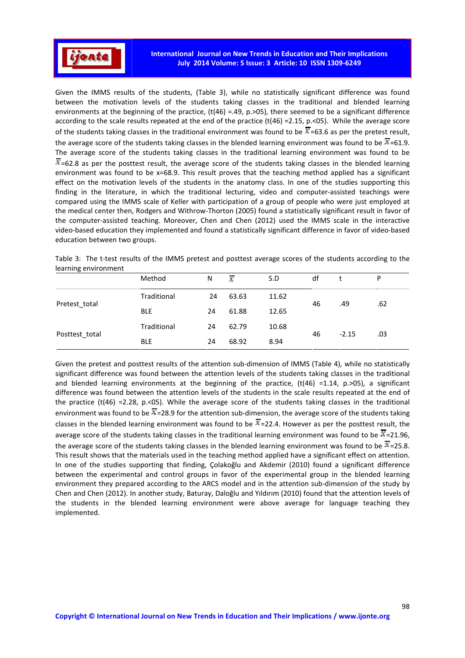

Given the IMMS results of the students, (Table 3), while no statistically significant difference was found between the motivation levels of the students taking classes in the traditional and blended learning environments at the beginning of the practice,  $(t(46) = .49, p. > 05)$ , there seemed to be a significant difference according to the scale results repeated at the end of the practice (t(46) =2.15, p.<05). While the average score of the students taking classes in the traditional environment was found to be  $\overline{x}$ =63.6 as per the pretest result, the average score of the students taking classes in the blended learning environment was found to be  $\bar{x}$ =61.9. The average score of the students taking classes in the traditional learning environment was found to be  $\overline{x}$ =62.8 as per the posttest result, the average score of the students taking classes in the blended learning environment was found to be x=68.9. This result proves that the teaching method applied has a significant effect on the motivation levels of the students in the anatomy class. In one of the studies supporting this finding in the literature, in which the traditional lecturing, video and computer-assisted teachings were compared using the IMMS scale of Keller with participation of a group of people who were just employed at the medical center then, Rodgers and Withrow-Thorton (2005) found a statistically significant result in favor of the computer-assisted teaching. Moreover, Chen and Chen (2012) used the IMMS scale in the interactive video-based education they implemented and found a statistically significant difference in favor of video-based education between two groups.

| Table 3: The t-test results of the IMMS pretest and posttest average scores of the students according to the |  |  |  |  |  |
|--------------------------------------------------------------------------------------------------------------|--|--|--|--|--|
| learning environment                                                                                         |  |  |  |  |  |

|                | Method      | N  | $\mathbf{x}$ | S.D   | df |         | P   |
|----------------|-------------|----|--------------|-------|----|---------|-----|
| Pretest_total  | Traditional | 24 | 63.63        | 11.62 |    | .49     | .62 |
|                | <b>BLE</b>  | 24 | 61.88        | 12.65 | 46 |         |     |
| Posttest total | Traditional | 24 | 62.79        | 10.68 |    |         |     |
|                | <b>BLE</b>  | 24 | 68.92        | 8.94  | 46 | $-2.15$ | .03 |

Given the pretest and posttest results of the attention sub-dimension of IMMS (Table 4), while no statistically significant difference was found between the attention levels of the students taking classes in the traditional and blended learning environments at the beginning of the practice,  $(t(46) = 1.14, p. > 05)$ , a significant difference was found between the attention levels of the students in the scale results repeated at the end of the practice (t(46) =2.28, p. < 05). While the average score of the students taking classes in the traditional environment was found to be  $\overline{x}$  =28.9 for the attention sub-dimension, the average score of the students taking classes in the blended learning environment was found to be  $\overline{x}$  =22.4. However as per the posttest result, the average score of the students taking classes in the traditional learning environment was found to be  $\overline{x}$ =21.96, the average score of the students taking classes in the blended learning environment was found to be  $\overline{x}$ =25.8. This result shows that the materials used in the teaching method applied have a significant effect on attention. In one of the studies supporting that finding, Çolakoğlu and Akdemir (2010) found a significant difference between the experimental and control groups in favor of the experimental group in the blended learning environment they prepared according to the ARCS model and in the attention sub-dimension of the study by Chen and Chen (2012). In another study, Baturay, Daloğlu and Yıldırım (2010) found that the attention levels of the students in the blended learning environment were above average for language teaching they implemented.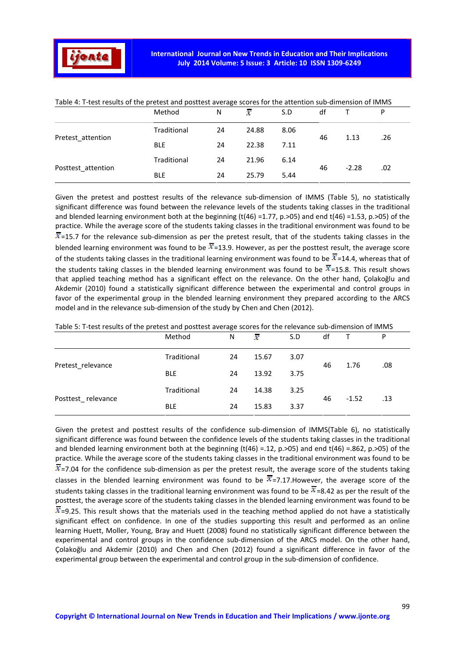|                    | Method      | N  | $\mathcal{K}$ | S.D  | df |         | P   |
|--------------------|-------------|----|---------------|------|----|---------|-----|
| Pretest attention  | Traditional | 24 | 24.88         | 8.06 | 46 | 1.13    | .26 |
|                    | <b>BLE</b>  | 24 | 22.38         | 7.11 |    |         |     |
| Posttest attention | Traditional | 24 | 21.96         | 6.14 | 46 | $-2.28$ | .02 |
|                    | <b>BLE</b>  | 24 | 25.79         | 5.44 |    |         |     |

Table 4: T-test results of the pretest and posttest average scores for the attention sub-dimension of IMMS

Given the pretest and posttest results of the relevance sub-dimension of IMMS (Table 5), no statistically significant difference was found between the relevance levels of the students taking classes in the traditional and blended learning environment both at the beginning (t(46) =1.77, p.>05) and end t(46) =1.53, p.>05) of the practice. While the average score of the students taking classes in the traditional environment was found to be  $\overline{x}$ =15.7 for the relevance sub-dimension as per the pretest result, that of the students taking classes in the blended learning environment was found to be  $\overline{x}$ =13.9. However, as per the posttest result, the average score of the students taking classes in the traditional learning environment was found to be  $\overline{x}$ =14.4, whereas that of the students taking classes in the blended learning environment was found to be  $\overline{x}$ =15.8. This result shows that applied teaching method has a significant effect on the relevance. On the other hand, Çolakoğlu and Akdemir (2010) found a statistically significant difference between the experimental and control groups in favor of the experimental group in the blended learning environment they prepared according to the ARCS model and in the relevance sub-dimension of the study by Chen and Chen (2012).

Table 5: T-test results of the pretest and posttest average scores for the relevance sub-dimension of IMMS

|                    | Method      | N  | $\mathcal{X}$ | S.D  | df |         | P   |
|--------------------|-------------|----|---------------|------|----|---------|-----|
| Pretest relevance  | Traditional | 24 | 15.67         | 3.07 | 46 | 1.76    | .08 |
|                    | <b>BLE</b>  | 24 | 13.92         | 3.75 |    |         |     |
| Posttest relevance | Traditional | 24 | 14.38         | 3.25 | 46 | $-1.52$ | .13 |
|                    | <b>BLE</b>  | 24 | 15.83         | 3.37 |    |         |     |

Given the pretest and posttest results of the confidence sub-dimension of IMMS(Table 6), no statistically significant difference was found between the confidence levels of the students taking classes in the traditional and blended learning environment both at the beginning  $(t(46) = 12, p. > 05)$  and end  $t(46) = .862, p. > 05$ ) of the practice. While the average score of the students taking classes in the traditional environment was found to be  $\overline{x}$ =7.04 for the confidence sub-dimension as per the pretest result, the average score of the students taking classes in the blended learning environment was found to be  $\overline{x}$ =7.17.However, the average score of the students taking classes in the traditional learning environment was found to be  $\overline{x}$  =8.42 as per the result of the posttest, the average score of the students taking classes in the blended learning environment was found to be  $\overline{x}$ =9.25. This result shows that the materials used in the teaching method applied do not have a statistically significant effect on confidence. In one of the studies supporting this result and performed as an online learning Huett, Moller, Young, Bray and Huett (2008) found no statistically significant difference between the experimental and control groups in the confidence sub-dimension of the ARCS model. On the other hand, Çolakoğlu and Akdemir (2010) and Chen and Chen (2012) found a significant difference in favor of the experimental group between the experimental and control group in the sub-dimension of confidence.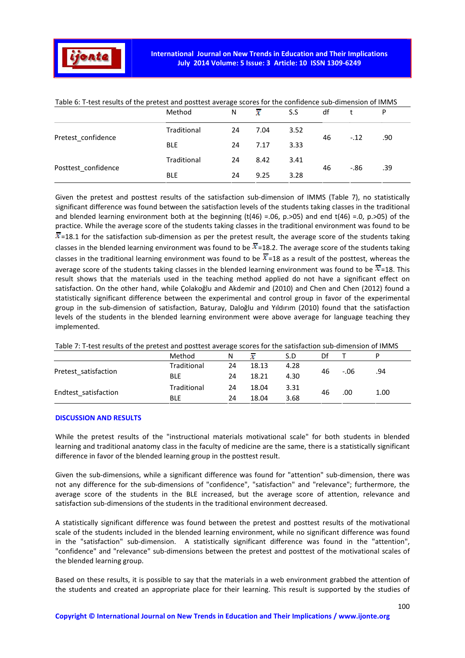

|                     | Method      | N  | х    | S.S  | df |         | P   |
|---------------------|-------------|----|------|------|----|---------|-----|
| Pretest_confidence  | Traditional | 24 | 7.04 | 3.52 |    |         |     |
|                     | <b>BLE</b>  | 24 | 7.17 | 3.33 | 46 | $-.12$  | .90 |
| Posttest_confidence | Traditional | 24 | 8.42 | 3.41 |    | $-0.86$ |     |
|                     | <b>BLE</b>  | 24 | 9.25 | 3.28 | 46 |         | .39 |

Table 6: T-test results of the pretest and posttest average scores for the confidence sub-dimension of IMMS

Given the pretest and posttest results of the satisfaction sub-dimension of IMMS (Table 7), no statistically significant difference was found between the satisfaction levels of the students taking classes in the traditional and blended learning environment both at the beginning  $(t(46) = .06, p.>05)$  and end  $t(46) = .0, p.>05$  of the practice. While the average score of the students taking classes in the traditional environment was found to be  $\overline{x}$ =18.1 for the satisfaction sub-dimension as per the pretest result, the average score of the students taking classes in the blended learning environment was found to be  $\overline{x}$ =18.2. The average score of the students taking classes in the traditional learning environment was found to be  $\overline{x}$ =18 as a result of the posttest, whereas the average score of the students taking classes in the blended learning environment was found to be  $\overline{x}$ =18. This result shows that the materials used in the teaching method applied do not have a significant effect on satisfaction. On the other hand, while Çolakoğlu and Akdemir and (2010) and Chen and Chen (2012) found a statistically significant difference between the experimental and control group in favor of the experimental group in the sub-dimension of satisfaction, Baturay, Daloğlu and Yıldırım (2010) found that the satisfaction levels of the students in the blended learning environment were above average for language teaching they implemented.

| Table 7: T-test results of the pretest and posttest average scores for the satisfaction sub-dimension of IMMS |  |
|---------------------------------------------------------------------------------------------------------------|--|
|---------------------------------------------------------------------------------------------------------------|--|

|                      | Method      | N  |       | S.D  | Df |         |      |
|----------------------|-------------|----|-------|------|----|---------|------|
| Pretest satisfaction | Traditional | 24 | 18.13 | 4.28 |    | $-0.06$ |      |
|                      | <b>BLE</b>  | 24 | 18.21 | 4.30 | 46 |         | .94  |
| Endtest_satisfaction | Traditional | 24 | 18.04 | 3.31 | 46 | .00     | 1.00 |
|                      | <b>BLE</b>  | 24 | 18.04 | 3.68 |    |         |      |

#### **DISCUSSION AND RESULTS**

While the pretest results of the "instructional materials motivational scale" for both students in blended learning and traditional anatomy class in the faculty of medicine are the same, there is a statistically significant difference in favor of the blended learning group in the posttest result.

Given the sub-dimensions, while a significant difference was found for "attention" sub-dimension, there was not any difference for the sub-dimensions of "confidence", "satisfaction" and "relevance"; furthermore, the average score of the students in the BLE increased, but the average score of attention, relevance and satisfaction sub-dimensions of the students in the traditional environment decreased.

A statistically significant difference was found between the pretest and posttest results of the motivational scale of the students included in the blended learning environment, while no significant difference was found in the "satisfaction" sub-dimension. A statistically significant difference was found in the "attention", "confidence" and "relevance" sub-dimensions between the pretest and posttest of the motivational scales of the blended learning group.

Based on these results, it is possible to say that the materials in a web environment grabbed the attention of the students and created an appropriate place for their learning. This result is supported by the studies of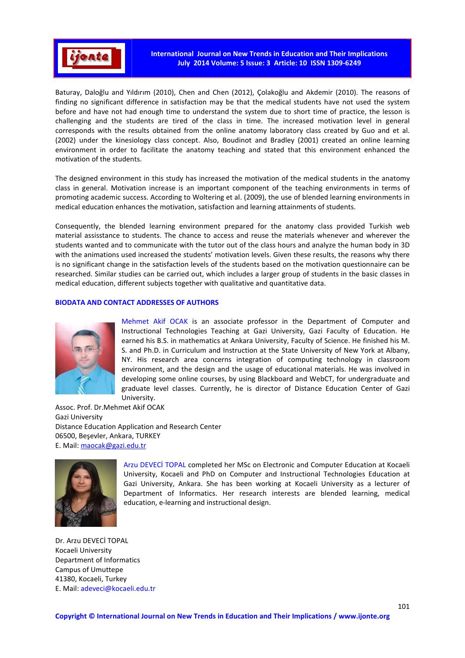

Baturay, Daloğlu and Yıldırım (2010), Chen and Chen (2012), Çolakoğlu and Akdemir (2010). The reasons of finding no significant difference in satisfaction may be that the medical students have not used the system before and have not had enough time to understand the system due to short time of practice, the lesson is challenging and the students are tired of the class in time. The increased motivation level in general corresponds with the results obtained from the online anatomy laboratory class created by Guo and et al. (2002) under the kinesiology class concept. Also, Boudinot and Bradley (2001) created an online learning environment in order to facilitate the anatomy teaching and stated that this environment enhanced the motivation of the students.

The designed environment in this study has increased the motivation of the medical students in the anatomy class in general. Motivation increase is an important component of the teaching environments in terms of promoting academic success. According to Woltering et al. (2009), the use of blended learning environments in medical education enhances the motivation, satisfaction and learning attainments of students.

Consequently, the blended learning environment prepared for the anatomy class provided Turkish web material assisstance to students. The chance to access and reuse the materials whenever and wherever the students wanted and to communicate with the tutor out of the class hours and analyze the human body in 3D with the animations used increased the students' motivation levels. Given these results, the reasons why there is no significant change in the satisfaction levels of the students based on the motivation questionnaire can be researched. Similar studies can be carried out, which includes a larger group of students in the basic classes in medical education, different subjects together with qualitative and quantitative data.

### **BIODATA AND CONTACT ADDRESSES OF AUTHORS**



Mehmet Akif OCAK is an associate professor in the Department of Computer and Instructional Technologies Teaching at Gazi University, Gazi Faculty of Education. He earned his B.S. in mathematics at Ankara University, Faculty of Science. He finished his M. S. and Ph.D. in Curriculum and Instruction at the State University of New York at Albany, NY. His research area concerns integration of computing technology in classroom environment, and the design and the usage of educational materials. He was involved in developing some online courses, by using Blackboard and WebCT, for undergraduate and graduate level classes. Currently, he is director of Distance Education Center of Gazi University.

Assoc. Prof. Dr.Mehmet Akif OCAK Gazi University Distance Education Application and Research Center 06500, Beşevler, Ankara, TURKEY E. Mail: maocak@gazi.edu.tr



Arzu DEVECİ TOPAL completed her MSc on Electronic and Computer Education at Kocaeli University, Kocaeli and PhD on Computer and Instructional Technologies Education at Gazi University, Ankara. She has been working at Kocaeli University as a lecturer of Department of Informatics. Her research interests are blended learning, medical education, e-learning and instructional design.

Dr. Arzu DEVECİ TOPAL Kocaeli University Department of Informatics Campus of Umuttepe 41380, Kocaeli, Turkey E. Mail: adeveci@kocaeli.edu.tr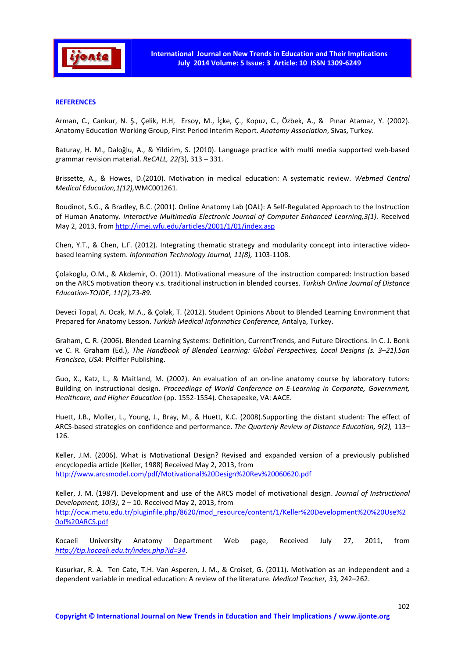

## **REFERENCES**

Arman, C., Cankur, N. Ş., Çelik, H.H, Ersoy, M., İçke, Ç., Kopuz, C., Özbek, A., & Pınar Atamaz, Y. (2002). Anatomy Education Working Group, First Period Interim Report. *Anatomy Association*, Sivas, Turkey.

Baturay, H. M., Daloğlu, A., & Yildirim, S. (2010). Language practice with multi media supported web-based grammar revision material. *ReCALL, 22(*3), 313 – 331.

Brissette, A., & Howes, D.(2010). Motivation in medical education: A systematic review. *Webmed Central Medical Education,1(12),*WMC001261.

Boudinot, S.G., & Bradley, B.C. (2001). Online Anatomy Lab (OAL): A Self-Regulated Approach to the Instruction of Human Anatomy. *Interactive Multimedia Electronic Journal of Computer Enhanced Learning,3(1).* Received May 2, 2013, from http://imej.wfu.edu/articles/2001/1/01/index.asp

Chen, Y.T., & Chen, L.F. (2012). Integrating thematic strategy and modularity concept into interactive videobased learning system. *Information Technology Journal, 11(8),* 1103-1108.

Çolakoglu, O.M., & Akdemir, O. (2011). Motivational measure of the instruction compared: Instruction based on the ARCS motivation theory v.s. traditional instruction in blended courses. *Turkish Online Journal of Distance Education-TOJDE, 11(2),73-89.* 

Deveci Topal, A. Ocak, M.A., & Çolak, T. (2012). Student Opinions About to Blended Learning Environment that Prepared for Anatomy Lesson. *Turkish Medical Informatics Conference,* Antalya, Turkey.

Graham, C. R. (2006). Blended Learning Systems: Definition, CurrentTrends, and Future Directions. In C. J. Bonk ve C. R. Graham (Ed.), *The Handbook of Blended Learning: Global Perspectives, Local Designs (s. 3–21).San Francisco, USA*: Pfeiffer Publishing.

Guo, X., Katz, L., & Maitland, M. (2002). An evaluation of an on-line anatomy course by laboratory tutors: Building on instructional design. *Proceedings of World Conference on E-Learning in Corporate, Government, Healthcare, and Higher Education* (pp. 1552-1554). Chesapeake, VA: AACE.

Huett, J.B., Moller, L., Young, J., Bray, M., & Huett, K.C. (2008).Supporting the distant student: The effect of ARCS-based strategies on confidence and performance. *The Quarterly Review of Distance Education, 9(2),* 113– 126.

Keller, J.M. (2006). What is Motivational Design? Revised and expanded version of a previously published encyclopedia article (Keller, 1988) Received May 2, 2013, from http://www.arcsmodel.com/pdf/Motivational%20Design%20Rev%20060620.pdf

Keller, J. M. (1987). Development and use of the ARCS model of motivational design. *Journal of Instructional Development, 10(3)*, 2 – 10. Received May 2, 2013, from http://ocw.metu.edu.tr/pluginfile.php/8620/mod\_resource/content/1/Keller%20Development%20%20Use%2 0of%20ARCS.pdf

Kocaeli University Anatomy Department Web page, Received July 27, 2011, from *http://tip.kocaeli.edu.tr/index.php?id=34*.

Kusurkar, R. A. Ten Cate, T.H. Van Asperen, J. M., & Croiset, G. (2011). Motivation as an independent and a dependent variable in medical education: A review of the literature. *Medical Teacher, 33,* 242–262.